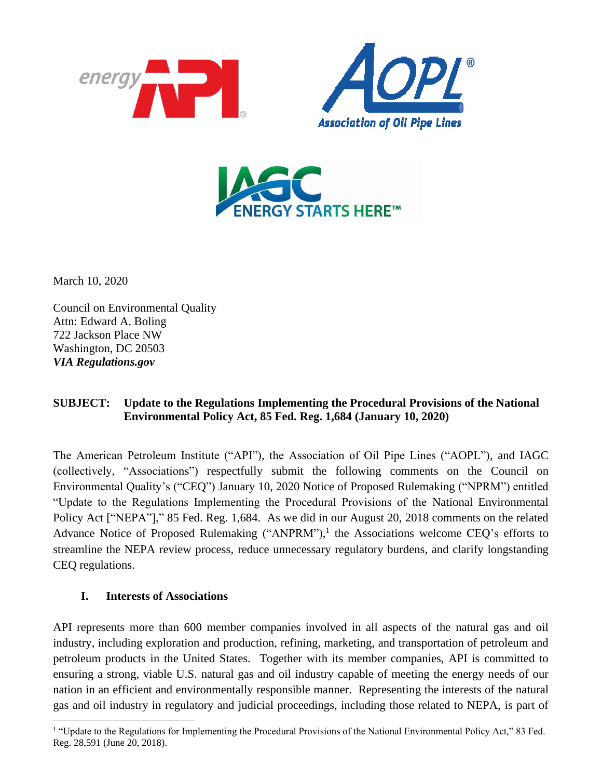



March 10, 2020

Council on Environmental Quality Attn: Edward A. Boling 722 Jackson Place NW Washington, DC 20503 *VIA Regulations.gov*

## **SUBJECT: Update to the Regulations Implementing the Procedural Provisions of the National Environmental Policy Act, 85 Fed. Reg. 1,684 (January 10, 2020)**

The American Petroleum Institute ("API"), the Association of Oil Pipe Lines ("AOPL"), and IAGC (collectively, "Associations") respectfully submit the following comments on the Council on Environmental Quality's ("CEQ") January 10, 2020 Notice of Proposed Rulemaking ("NPRM") entitled "Update to the Regulations Implementing the Procedural Provisions of the National Environmental Policy Act ["NEPA"]," 85 Fed. Reg. 1,684. As we did in our August 20, 2018 comments on the related Advance Notice of Proposed Rulemaking ("ANPRM"),<sup>1</sup> the Associations welcome CEQ's efforts to streamline the NEPA review process, reduce unnecessary regulatory burdens, and clarify longstanding CEQ regulations.

#### **I. Interests of Associations**

API represents more than 600 member companies involved in all aspects of the natural gas and oil industry, including exploration and production, refining, marketing, and transportation of petroleum and petroleum products in the United States. Together with its member companies, API is committed to ensuring a strong, viable U.S. natural gas and oil industry capable of meeting the energy needs of our nation in an efficient and environmentally responsible manner. Representing the interests of the natural gas and oil industry in regulatory and judicial proceedings, including those related to NEPA, is part of

<sup>&</sup>lt;sup>1</sup> "Update to the Regulations for Implementing the Procedural Provisions of the National Environmental Policy Act," 83 Fed. Reg. 28,591 (June 20, 2018).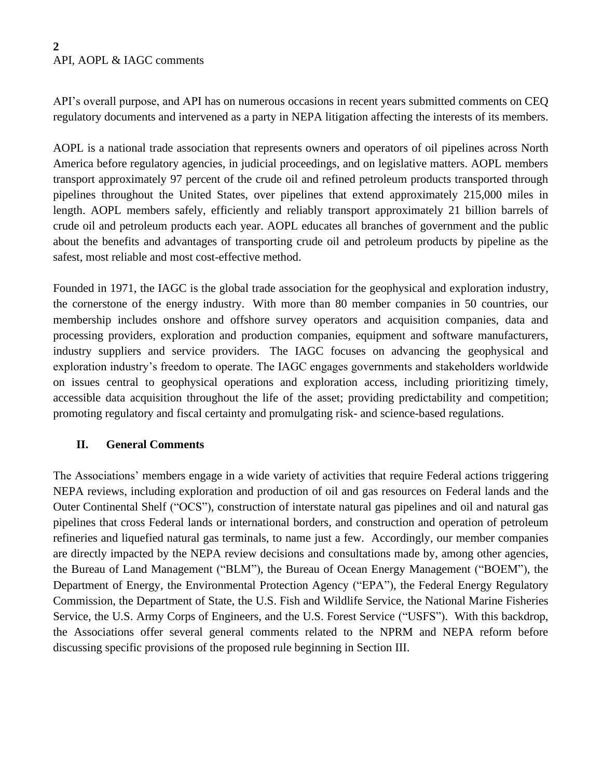API's overall purpose, and API has on numerous occasions in recent years submitted comments on CEQ regulatory documents and intervened as a party in NEPA litigation affecting the interests of its members.

AOPL is a national trade association that represents owners and operators of oil pipelines across North America before regulatory agencies, in judicial proceedings, and on legislative matters. AOPL members transport approximately 97 percent of the crude oil and refined petroleum products transported through pipelines throughout the United States, over pipelines that extend approximately 215,000 miles in length. AOPL members safely, efficiently and reliably transport approximately 21 billion barrels of crude oil and petroleum products each year. AOPL educates all branches of government and the public about the benefits and advantages of transporting crude oil and petroleum products by pipeline as the safest, most reliable and most cost-effective method.

Founded in 1971, the IAGC is the global trade association for the geophysical and exploration industry, the cornerstone of the energy industry. With more than 80 member companies in 50 countries, our membership includes onshore and offshore survey operators and acquisition companies, data and processing providers, exploration and production companies, equipment and software manufacturers, industry suppliers and service providers. The IAGC focuses on advancing the geophysical and exploration industry's freedom to operate. The IAGC engages governments and stakeholders worldwide on issues central to geophysical operations and exploration access, including prioritizing timely, accessible data acquisition throughout the life of the asset; providing predictability and competition; promoting regulatory and fiscal certainty and promulgating risk- and science-based regulations.

#### **II. General Comments**

The Associations' members engage in a wide variety of activities that require Federal actions triggering NEPA reviews, including exploration and production of oil and gas resources on Federal lands and the Outer Continental Shelf ("OCS"), construction of interstate natural gas pipelines and oil and natural gas pipelines that cross Federal lands or international borders, and construction and operation of petroleum refineries and liquefied natural gas terminals, to name just a few. Accordingly, our member companies are directly impacted by the NEPA review decisions and consultations made by, among other agencies, the Bureau of Land Management ("BLM"), the Bureau of Ocean Energy Management ("BOEM"), the Department of Energy, the Environmental Protection Agency ("EPA"), the Federal Energy Regulatory Commission, the Department of State, the U.S. Fish and Wildlife Service, the National Marine Fisheries Service, the U.S. Army Corps of Engineers, and the U.S. Forest Service ("USFS"). With this backdrop, the Associations offer several general comments related to the NPRM and NEPA reform before discussing specific provisions of the proposed rule beginning in Section III.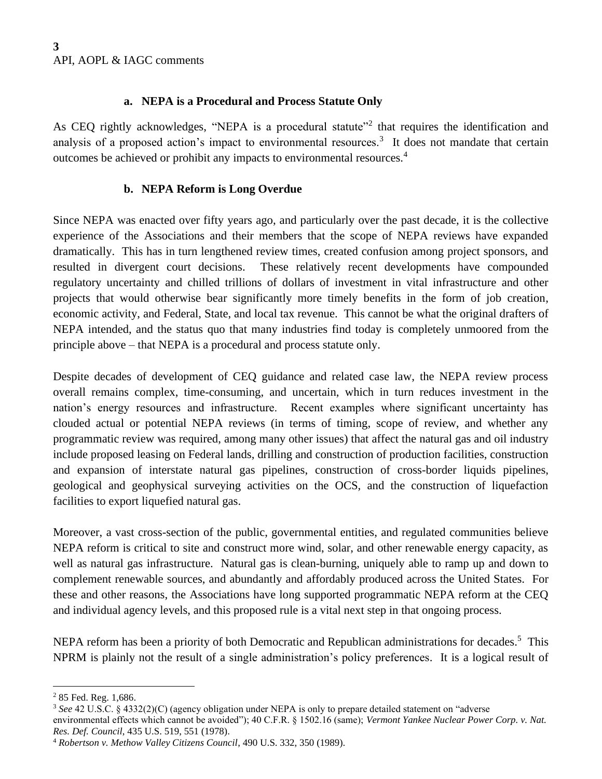#### **a. NEPA is a Procedural and Process Statute Only**

As CEQ rightly acknowledges, "NEPA is a procedural statute"<sup>2</sup> that requires the identification and analysis of a proposed action's impact to environmental resources.<sup>3</sup> It does not mandate that certain outcomes be achieved or prohibit any impacts to environmental resources.<sup>4</sup>

# **b. NEPA Reform is Long Overdue**

Since NEPA was enacted over fifty years ago, and particularly over the past decade, it is the collective experience of the Associations and their members that the scope of NEPA reviews have expanded dramatically. This has in turn lengthened review times, created confusion among project sponsors, and resulted in divergent court decisions. These relatively recent developments have compounded regulatory uncertainty and chilled trillions of dollars of investment in vital infrastructure and other projects that would otherwise bear significantly more timely benefits in the form of job creation, economic activity, and Federal, State, and local tax revenue. This cannot be what the original drafters of NEPA intended, and the status quo that many industries find today is completely unmoored from the principle above – that NEPA is a procedural and process statute only.

Despite decades of development of CEQ guidance and related case law, the NEPA review process overall remains complex, time-consuming, and uncertain, which in turn reduces investment in the nation's energy resources and infrastructure. Recent examples where significant uncertainty has clouded actual or potential NEPA reviews (in terms of timing, scope of review, and whether any programmatic review was required, among many other issues) that affect the natural gas and oil industry include proposed leasing on Federal lands, drilling and construction of production facilities, construction and expansion of interstate natural gas pipelines, construction of cross-border liquids pipelines, geological and geophysical surveying activities on the OCS, and the construction of liquefaction facilities to export liquefied natural gas.

Moreover, a vast cross-section of the public, governmental entities, and regulated communities believe NEPA reform is critical to site and construct more wind, solar, and other renewable energy capacity, as well as natural gas infrastructure. Natural gas is clean-burning, uniquely able to ramp up and down to complement renewable sources, and abundantly and affordably produced across the United States. For these and other reasons, the Associations have long supported programmatic NEPA reform at the CEQ and individual agency levels, and this proposed rule is a vital next step in that ongoing process.

NEPA reform has been a priority of both Democratic and Republican administrations for decades.<sup>5</sup> This NPRM is plainly not the result of a single administration's policy preferences. It is a logical result of

<sup>2</sup> 85 Fed. Reg. 1,686.

<sup>&</sup>lt;sup>3</sup> See 42 U.S.C. § 4332(2)(C) (agency obligation under NEPA is only to prepare detailed statement on "adverse

environmental effects which cannot be avoided"); 40 C.F.R. § 1502.16 (same); *Vermont Yankee Nuclear Power Corp. v. Nat. Res. Def. Council*, 435 U.S. 519, 551 (1978).

<sup>4</sup> *Robertson v. Methow Valley Citizens Council*, 490 U.S. 332, 350 (1989).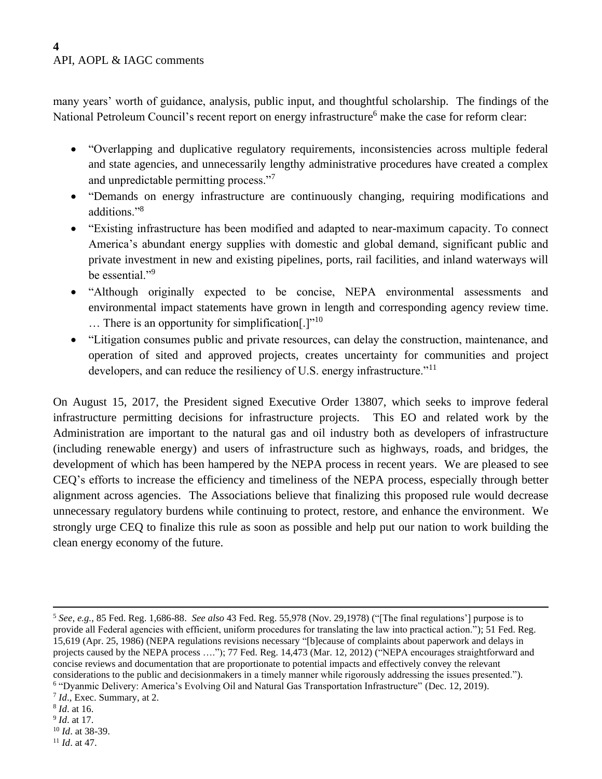many years' worth of guidance, analysis, public input, and thoughtful scholarship. The findings of the National Petroleum Council's recent report on energy infrastructure<sup>6</sup> make the case for reform clear:

- "Overlapping and duplicative regulatory requirements, inconsistencies across multiple federal and state agencies, and unnecessarily lengthy administrative procedures have created a complex and unpredictable permitting process."<sup>7</sup>
- "Demands on energy infrastructure are continuously changing, requiring modifications and additions."<sup>8</sup>
- "Existing infrastructure has been modified and adapted to near-maximum capacity. To connect America's abundant energy supplies with domestic and global demand, significant public and private investment in new and existing pipelines, ports, rail facilities, and inland waterways will be essential."<sup>9</sup>
- "Although originally expected to be concise, NEPA environmental assessments and environmental impact statements have grown in length and corresponding agency review time. … There is an opportunity for simplification[.]"<sup>10</sup>
- "Litigation consumes public and private resources, can delay the construction, maintenance, and operation of sited and approved projects, creates uncertainty for communities and project developers, and can reduce the resiliency of U.S. energy infrastructure."<sup>11</sup>

On August 15, 2017, the President signed Executive Order 13807, which seeks to improve federal infrastructure permitting decisions for infrastructure projects. This EO and related work by the Administration are important to the natural gas and oil industry both as developers of infrastructure (including renewable energy) and users of infrastructure such as highways, roads, and bridges, the development of which has been hampered by the NEPA process in recent years. We are pleased to see CEQ's efforts to increase the efficiency and timeliness of the NEPA process, especially through better alignment across agencies. The Associations believe that finalizing this proposed rule would decrease unnecessary regulatory burdens while continuing to protect, restore, and enhance the environment. We strongly urge CEQ to finalize this rule as soon as possible and help put our nation to work building the clean energy economy of the future.

<sup>5</sup> *See, e.g.*, 85 Fed. Reg. 1,686-88. *See also* 43 Fed. Reg. 55,978 (Nov. 29,1978) ("[The final regulations'] purpose is to provide all Federal agencies with efficient, uniform procedures for translating the law into practical action."); 51 Fed. Reg. 15,619 (Apr. 25, 1986) (NEPA regulations revisions necessary "[b]ecause of complaints about paperwork and delays in projects caused by the NEPA process …."); 77 Fed. Reg. 14,473 (Mar. 12, 2012) ("NEPA encourages straightforward and concise reviews and documentation that are proportionate to potential impacts and effectively convey the relevant considerations to the public and decisionmakers in a timely manner while rigorously addressing the issues presented."). <sup>6</sup> "Dyanmic Delivery: America's Evolving Oil and Natural Gas Transportation Infrastructure" (Dec. 12, 2019).

<sup>7</sup> *Id*., Exec. Summary, at 2.

<sup>8</sup> *Id*. at 16.

<sup>9</sup> *Id*. at 17.

<sup>10</sup> *Id*. at 38-39.

<sup>11</sup> *Id*. at 47.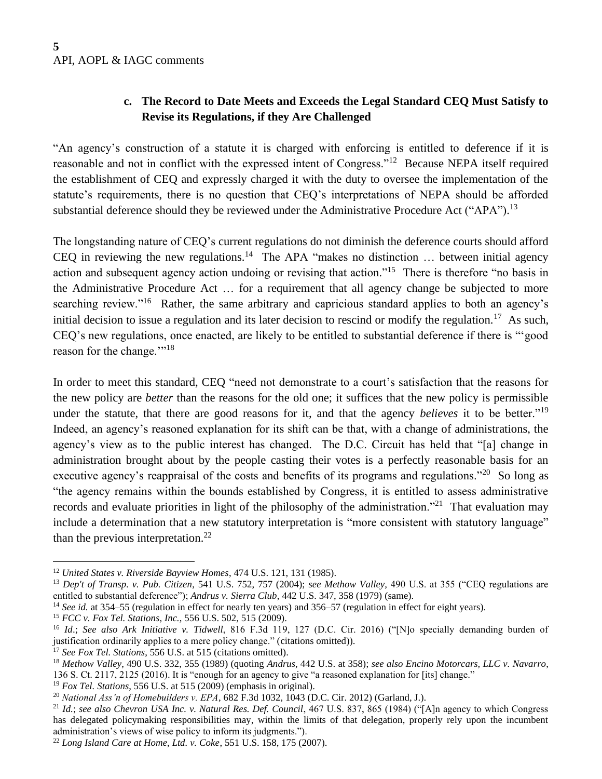# **c. The Record to Date Meets and Exceeds the Legal Standard CEQ Must Satisfy to Revise its Regulations, if they Are Challenged**

"An agency's construction of a statute it is charged with enforcing is entitled to deference if it is reasonable and not in conflict with the expressed intent of Congress."<sup>12</sup> Because NEPA itself required the establishment of CEQ and expressly charged it with the duty to oversee the implementation of the statute's requirements, there is no question that CEQ's interpretations of NEPA should be afforded substantial deference should they be reviewed under the Administrative Procedure Act ("APA").<sup>13</sup>

The longstanding nature of CEQ's current regulations do not diminish the deference courts should afford CEQ in reviewing the new regulations.<sup>14</sup> The APA "makes no distinction ... between initial agency action and subsequent agency action undoing or revising that action."<sup>15</sup> There is therefore "no basis in the Administrative Procedure Act … for a requirement that all agency change be subjected to more searching review."<sup>16</sup> Rather, the same arbitrary and capricious standard applies to both an agency's initial decision to issue a regulation and its later decision to rescind or modify the regulation.<sup>17</sup> As such, CEQ's new regulations, once enacted, are likely to be entitled to substantial deference if there is "'good reason for the change.""<sup>18</sup>

In order to meet this standard, CEQ "need not demonstrate to a court's satisfaction that the reasons for the new policy are *better* than the reasons for the old one; it suffices that the new policy is permissible under the statute, that there are good reasons for it, and that the agency *believes* it to be better."<sup>19</sup> Indeed, an agency's reasoned explanation for its shift can be that, with a change of administrations, the agency's view as to the public interest has changed. The D.C. Circuit has held that "[a] change in administration brought about by the people casting their votes is a perfectly reasonable basis for an executive agency's reappraisal of the costs and benefits of its programs and regulations."<sup>20</sup> So long as "the agency remains within the bounds established by Congress, it is entitled to assess administrative records and evaluate priorities in light of the philosophy of the administration."<sup>21</sup> That evaluation may include a determination that a new statutory interpretation is "more consistent with statutory language" than the previous interpretation.<sup>22</sup>

<sup>12</sup> *United States v. Riverside Bayview Homes*, 474 U.S. 121, 131 (1985).

<sup>13</sup> *Dep't of Transp. v. Pub. Citizen*, 541 U.S. 752, 757 (2004); *see Methow Valley,* 490 U.S. at 355 ("CEQ regulations are entitled to substantial deference"); *Andrus v. Sierra Club*, 442 U.S. 347, 358 (1979) (same).

<sup>&</sup>lt;sup>14</sup> *See id.* at 354–55 (regulation in effect for nearly ten years) and 356–57 (regulation in effect for eight years).

<sup>15</sup> *FCC v. Fox Tel. Stations, Inc.*, 556 U.S. 502, 515 (2009).

<sup>16</sup> *Id*.; *See also Ark Initiative v. Tidwell*, 816 F.3d 119, 127 (D.C. Cir. 2016) ("[N]o specially demanding burden of justification ordinarily applies to a mere policy change." (citations omitted)).

<sup>17</sup> *See Fox Tel. Stations*, 556 U.S. at 515 (citations omitted).

<sup>18</sup> *Methow Valley*, 490 U.S. 332, 355 (1989) (quoting *Andrus,* 442 U.S. at 358); *see also Encino Motorcars, LLC v. Navarro*, 136 S. Ct. 2117, 2125 (2016). It is "enough for an agency to give "a reasoned explanation for [its] change."

<sup>19</sup> *Fox Tel. Stations*, 556 U.S. at 515 (2009) (emphasis in original).

<sup>20</sup> *National Ass'n of Homebuilders v. EPA*, 682 F.3d 1032, 1043 (D.C. Cir. 2012) (Garland, J.).

<sup>21</sup> *Id.*; *see also Chevron USA Inc. v. Natural Res. Def. Council*, 467 U.S. 837, 865 (1984) ("[A]n agency to which Congress has delegated policymaking responsibilities may, within the limits of that delegation, properly rely upon the incumbent administration's views of wise policy to inform its judgments.").

<sup>22</sup> *Long Island Care at Home, Ltd. v. Coke*, 551 U.S. 158, 175 (2007).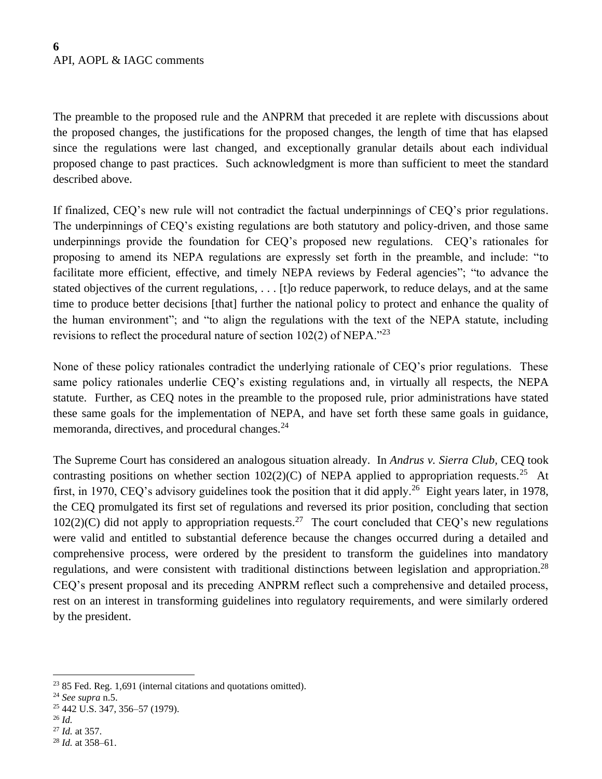The preamble to the proposed rule and the ANPRM that preceded it are replete with discussions about the proposed changes, the justifications for the proposed changes, the length of time that has elapsed since the regulations were last changed, and exceptionally granular details about each individual proposed change to past practices. Such acknowledgment is more than sufficient to meet the standard described above.

If finalized, CEQ's new rule will not contradict the factual underpinnings of CEQ's prior regulations. The underpinnings of CEQ's existing regulations are both statutory and policy-driven, and those same underpinnings provide the foundation for CEQ's proposed new regulations. CEQ's rationales for proposing to amend its NEPA regulations are expressly set forth in the preamble, and include: "to facilitate more efficient, effective, and timely NEPA reviews by Federal agencies"; "to advance the stated objectives of the current regulations, . . . [t]o reduce paperwork, to reduce delays, and at the same time to produce better decisions [that] further the national policy to protect and enhance the quality of the human environment"; and "to align the regulations with the text of the NEPA statute, including revisions to reflect the procedural nature of section  $102(2)$  of NEPA."<sup>23</sup>

None of these policy rationales contradict the underlying rationale of CEQ's prior regulations. These same policy rationales underlie CEQ's existing regulations and, in virtually all respects, the NEPA statute. Further, as CEQ notes in the preamble to the proposed rule, prior administrations have stated these same goals for the implementation of NEPA, and have set forth these same goals in guidance, memoranda, directives, and procedural changes.<sup>24</sup>

The Supreme Court has considered an analogous situation already. In *Andrus v. Sierra Club,* CEQ took contrasting positions on whether section  $102(2)(C)$  of NEPA applied to appropriation requests.<sup>25</sup> At first, in 1970, CEQ's advisory guidelines took the position that it did apply.<sup>26</sup> Eight years later, in 1978, the CEQ promulgated its first set of regulations and reversed its prior position, concluding that section  $102(2)(C)$  did not apply to appropriation requests.<sup>27</sup> The court concluded that CEQ's new regulations were valid and entitled to substantial deference because the changes occurred during a detailed and comprehensive process, were ordered by the president to transform the guidelines into mandatory regulations, and were consistent with traditional distinctions between legislation and appropriation.<sup>28</sup> CEQ's present proposal and its preceding ANPRM reflect such a comprehensive and detailed process, rest on an interest in transforming guidelines into regulatory requirements, and were similarly ordered by the president.

 $23$  85 Fed. Reg. 1,691 (internal citations and quotations omitted).

<sup>24</sup> *See supra* n.5.

<sup>25</sup> 442 U.S. 347, 356–57 (1979).

<sup>26</sup> *Id.*

<sup>27</sup> *Id.* at 357.

<sup>28</sup> *Id.* at 358–61.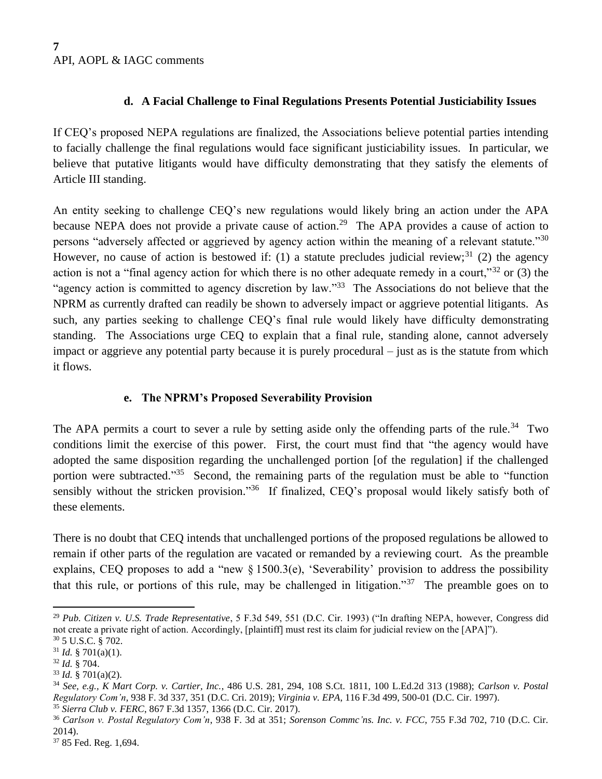## **d. A Facial Challenge to Final Regulations Presents Potential Justiciability Issues**

If CEQ's proposed NEPA regulations are finalized, the Associations believe potential parties intending to facially challenge the final regulations would face significant justiciability issues. In particular, we believe that putative litigants would have difficulty demonstrating that they satisfy the elements of Article III standing.

An entity seeking to challenge CEQ's new regulations would likely bring an action under the APA because NEPA does not provide a private cause of action.<sup>29</sup> The APA provides a cause of action to persons "adversely affected or aggrieved by agency action within the meaning of a relevant statute."<sup>30</sup> However, no cause of action is bestowed if: (1) a statute precludes judicial review;<sup>31</sup> (2) the agency action is not a "final agency action for which there is no other adequate remedy in a court,"<sup>32</sup> or (3) the "agency action is committed to agency discretion by law."<sup>33</sup> The Associations do not believe that the NPRM as currently drafted can readily be shown to adversely impact or aggrieve potential litigants. As such, any parties seeking to challenge CEQ's final rule would likely have difficulty demonstrating standing. The Associations urge CEQ to explain that a final rule, standing alone, cannot adversely impact or aggrieve any potential party because it is purely procedural – just as is the statute from which it flows.

#### **e. The NPRM's Proposed Severability Provision**

The APA permits a court to sever a rule by setting aside only the offending parts of the rule.<sup>34</sup> Two conditions limit the exercise of this power. First, the court must find that "the agency would have adopted the same disposition regarding the unchallenged portion [of the regulation] if the challenged portion were subtracted."<sup>35</sup> Second, the remaining parts of the regulation must be able to "function sensibly without the stricken provision."<sup>36</sup> If finalized, CEQ's proposal would likely satisfy both of these elements.

There is no doubt that CEQ intends that unchallenged portions of the proposed regulations be allowed to remain if other parts of the regulation are vacated or remanded by a reviewing court. As the preamble explains, CEQ proposes to add a "new § 1500.3(e), 'Severability' provision to address the possibility that this rule, or portions of this rule, may be challenged in litigation."<sup>37</sup> The preamble goes on to

<sup>33</sup> *Id.* § 701(a)(2).

<sup>29</sup> *Pub. Citizen v. U.S. Trade Representative*, 5 F.3d 549, 551 (D.C. Cir. 1993) ("In drafting NEPA, however, Congress did not create a private right of action. Accordingly, [plaintiff] must rest its claim for judicial review on the [APA]").

<sup>30</sup> 5 U.S.C. § 702.

 $31$  *Id.* § 701(a)(1).

<sup>32</sup> *Id.* § 704.

<sup>34</sup> *See, e.g., K Mart Corp. v. Cartier, Inc.*, 486 U.S. 281, 294, 108 S.Ct. 1811, 100 L.Ed.2d 313 (1988); *Carlson v. Postal Regulatory Com'n*, 938 F. 3d 337, 351 (D.C. Cri. 2019); *Virginia v. EPA*, 116 F.3d 499, 500-01 (D.C. Cir. 1997).

<sup>35</sup> *Sierra Club v. FERC*, 867 F.3d 1357, 1366 (D.C. Cir. 2017).

<sup>36</sup> *Carlson v. Postal Regulatory Com'n*, 938 F. 3d at 351; *Sorenson Commc'ns. Inc. v. FCC*, 755 F.3d 702, 710 (D.C. Cir. 2014).

<sup>37</sup> 85 Fed. Reg. 1,694.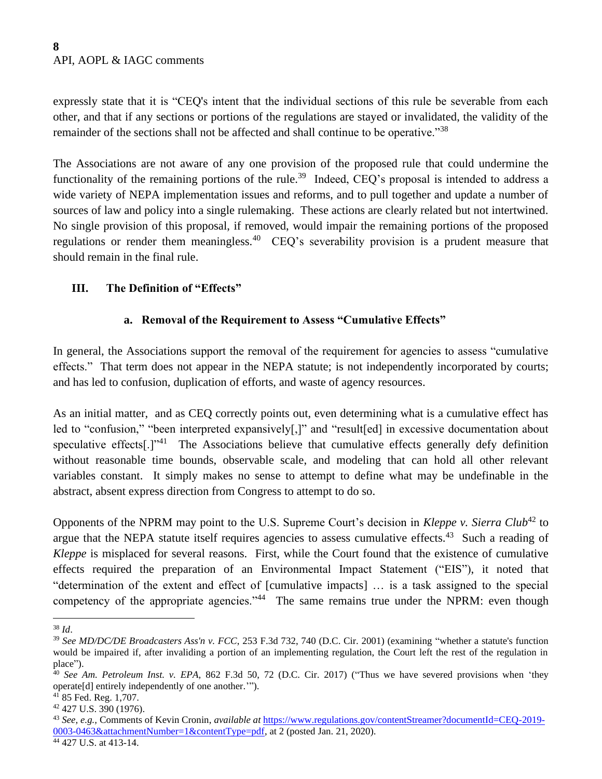expressly state that it is "CEQ's intent that the individual sections of this rule be severable from each other, and that if any sections or portions of the regulations are stayed or invalidated, the validity of the remainder of the sections shall not be affected and shall continue to be operative."<sup>38</sup>

The Associations are not aware of any one provision of the proposed rule that could undermine the functionality of the remaining portions of the rule.<sup>39</sup> Indeed, CEQ's proposal is intended to address a wide variety of NEPA implementation issues and reforms, and to pull together and update a number of sources of law and policy into a single rulemaking. These actions are clearly related but not intertwined. No single provision of this proposal, if removed, would impair the remaining portions of the proposed regulations or render them meaningless.<sup>40</sup> CEQ's severability provision is a prudent measure that should remain in the final rule.

## **III. The Definition of "Effects"**

## **a. Removal of the Requirement to Assess "Cumulative Effects"**

In general, the Associations support the removal of the requirement for agencies to assess "cumulative effects." That term does not appear in the NEPA statute; is not independently incorporated by courts; and has led to confusion, duplication of efforts, and waste of agency resources.

As an initial matter, and as CEQ correctly points out, even determining what is a cumulative effect has led to "confusion," "been interpreted expansively[,]" and "result[ed] in excessive documentation about speculative effects[.] $1^{34}$  The Associations believe that cumulative effects generally defy definition without reasonable time bounds, observable scale, and modeling that can hold all other relevant variables constant. It simply makes no sense to attempt to define what may be undefinable in the abstract, absent express direction from Congress to attempt to do so.

Opponents of the NPRM may point to the U.S. Supreme Court's decision in *Kleppe v. Sierra Club*<sup>42</sup> to argue that the NEPA statute itself requires agencies to assess cumulative effects.<sup>43</sup> Such a reading of *Kleppe* is misplaced for several reasons. First, while the Court found that the existence of cumulative effects required the preparation of an Environmental Impact Statement ("EIS"), it noted that "determination of the extent and effect of [cumulative impacts] … is a task assigned to the special competency of the appropriate agencies."<sup>44</sup> The same remains true under the NPRM: even though

<sup>42</sup> 427 U.S. 390 (1976).

<sup>38</sup> *Id*.

<sup>39</sup> *See MD/DC/DE Broadcasters Ass'n v. FCC*, 253 F.3d 732, 740 (D.C. Cir. 2001) (examining "whether a statute's function would be impaired if, after invaliding a portion of an implementing regulation, the Court left the rest of the regulation in place").

<sup>&</sup>lt;sup>40</sup> See Am. Petroleum Inst. v. EPA, 862 F.3d 50, 72 (D.C. Cir. 2017) ("Thus we have severed provisions when 'they operate[d] entirely independently of one another.'").

<sup>41</sup> 85 Fed. Reg. 1,707.

<sup>43</sup> *See, e.g.,* Comments of Kevin Cronin, *available at* [https://www.regulations.gov/contentStreamer?documentId=CEQ-2019-](https://www.regulations.gov/contentStreamer?documentId=CEQ-2019-0003-0463&attachmentNumber=1&contentType=pdf) [0003-0463&attachmentNumber=1&contentType=pdf,](https://www.regulations.gov/contentStreamer?documentId=CEQ-2019-0003-0463&attachmentNumber=1&contentType=pdf) at 2 (posted Jan. 21, 2020).

<sup>44</sup> 427 U.S. at 413-14.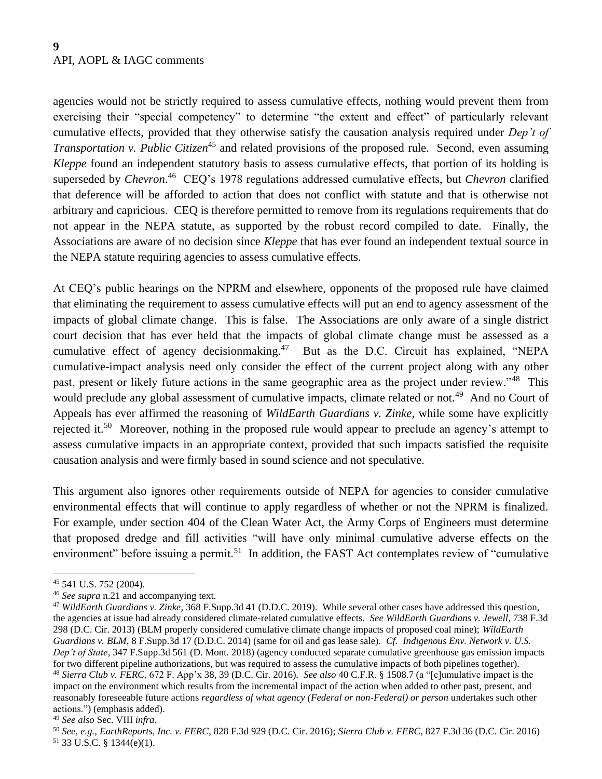## **9** API, AOPL & IAGC comments

agencies would not be strictly required to assess cumulative effects, nothing would prevent them from exercising their "special competency" to determine "the extent and effect" of particularly relevant cumulative effects, provided that they otherwise satisfy the causation analysis required under *Dep't of Transportation v. Public Citizen*<sup>45</sup> and related provisions of the proposed rule. Second, even assuming *Kleppe* found an independent statutory basis to assess cumulative effects, that portion of its holding is superseded by *Chevron*. <sup>46</sup> CEQ's 1978 regulations addressed cumulative effects, but *Chevron* clarified that deference will be afforded to action that does not conflict with statute and that is otherwise not arbitrary and capricious. CEQ is therefore permitted to remove from its regulations requirements that do not appear in the NEPA statute, as supported by the robust record compiled to date. Finally, the Associations are aware of no decision since *Kleppe* that has ever found an independent textual source in the NEPA statute requiring agencies to assess cumulative effects.

At CEQ's public hearings on the NPRM and elsewhere, opponents of the proposed rule have claimed that eliminating the requirement to assess cumulative effects will put an end to agency assessment of the impacts of global climate change. This is false. The Associations are only aware of a single district court decision that has ever held that the impacts of global climate change must be assessed as a cumulative effect of agency decisionmaking.<sup>47</sup> But as the D.C. Circuit has explained, "NEPA cumulative-impact analysis need only consider the effect of the current project along with any other past, present or likely future actions in the same geographic area as the project under review."<sup>48</sup> This would preclude any global assessment of cumulative impacts, climate related or not.<sup>49</sup> And no Court of Appeals has ever affirmed the reasoning of *WildEarth Guardians v. Zinke*, while some have explicitly rejected it.<sup>50</sup> Moreover, nothing in the proposed rule would appear to preclude an agency's attempt to assess cumulative impacts in an appropriate context, provided that such impacts satisfied the requisite causation analysis and were firmly based in sound science and not speculative.

This argument also ignores other requirements outside of NEPA for agencies to consider cumulative environmental effects that will continue to apply regardless of whether or not the NPRM is finalized. For example, under section 404 of the Clean Water Act, the Army Corps of Engineers must determine that proposed dredge and fill activities "will have only minimal cumulative adverse effects on the environment" before issuing a permit.<sup>51</sup> In addition, the FAST Act contemplates review of "cumulative

<sup>45</sup> 541 U.S. 752 (2004).

<sup>46</sup> *See supra* n.21 and accompanying text.

<sup>47</sup> *WildEarth Guardians v. Zinke*, 368 F.Supp.3d 41 (D.D.C. 2019). While several other cases have addressed this question, the agencies at issue had already considered climate-related cumulative effects. *See WildEarth Guardians v. Jewell*, 738 F.3d 298 (D.C. Cir. 2013) (BLM properly considered cumulative climate change impacts of proposed coal mine); *WildEarth Guardians v. BLM*, 8 F.Supp.3d 17 (D.D.C. 2014) (same for oil and gas lease sale). *Cf*. *Indigenous Env. Network v. U.S. Dep't of State*, 347 F.Supp.3d 561 (D. Mont. 2018) (agency conducted separate cumulative greenhouse gas emission impacts for two different pipeline authorizations, but was required to assess the cumulative impacts of both pipelines together). <sup>48</sup> *Sierra Club v. FERC*, 672 F. App'x 38, 39 (D.C. Cir. 2016). *See also* 40 C.F.R. § 1508.7 (a "[c]umulative impact is the impact on the environment which results from the incremental impact of the action when added to other past, present, and reasonably foreseeable future actions *regardless of what agency (Federal or non-Federal) or person* undertakes such other actions.") (emphasis added).

<sup>49</sup> *See also* Sec. VIII *infra*.

<sup>50</sup> *See, e.g., EarthReports, Inc. v. FERC*, 828 F.3d 929 (D.C. Cir. 2016); *Sierra Club v. FERC*, 827 F.3d 36 (D.C. Cir. 2016)

 $51$  33 U.S.C. § 1344(e)(1).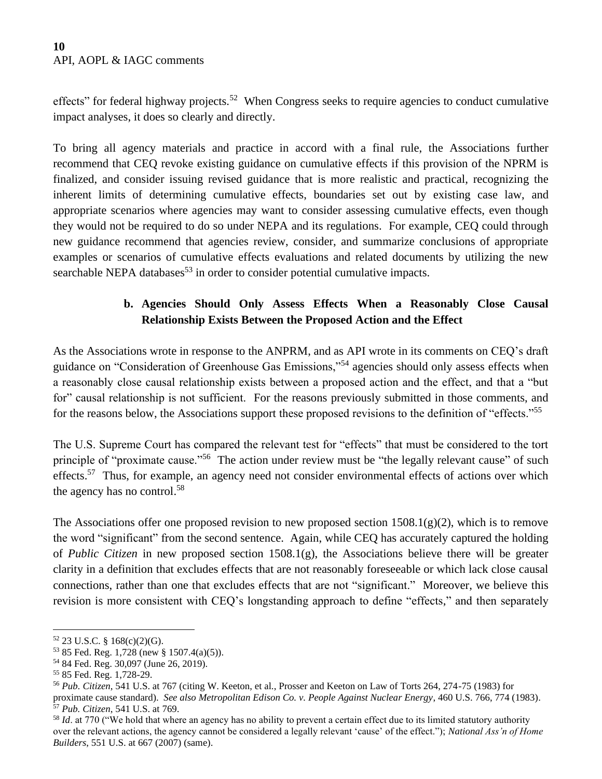effects" for federal highway projects.<sup>52</sup> When Congress seeks to require agencies to conduct cumulative impact analyses, it does so clearly and directly.

To bring all agency materials and practice in accord with a final rule, the Associations further recommend that CEQ revoke existing guidance on cumulative effects if this provision of the NPRM is finalized, and consider issuing revised guidance that is more realistic and practical, recognizing the inherent limits of determining cumulative effects, boundaries set out by existing case law, and appropriate scenarios where agencies may want to consider assessing cumulative effects, even though they would not be required to do so under NEPA and its regulations. For example, CEQ could through new guidance recommend that agencies review, consider, and summarize conclusions of appropriate examples or scenarios of cumulative effects evaluations and related documents by utilizing the new searchable NEPA databases<sup>53</sup> in order to consider potential cumulative impacts.

# **b. Agencies Should Only Assess Effects When a Reasonably Close Causal Relationship Exists Between the Proposed Action and the Effect**

As the Associations wrote in response to the ANPRM, and as API wrote in its comments on CEQ's draft guidance on "Consideration of Greenhouse Gas Emissions,"<sup>54</sup> agencies should only assess effects when a reasonably close causal relationship exists between a proposed action and the effect, and that a "but for" causal relationship is not sufficient. For the reasons previously submitted in those comments, and for the reasons below, the Associations support these proposed revisions to the definition of "effects."<sup>55</sup>

The U.S. Supreme Court has compared the relevant test for "effects" that must be considered to the tort principle of "proximate cause."<sup>56</sup> The action under review must be "the legally relevant cause" of such effects.<sup>57</sup> Thus, for example, an agency need not consider environmental effects of actions over which the agency has no control.<sup>58</sup>

The Associations offer one proposed revision to new proposed section  $1508.1(g)(2)$ , which is to remove the word "significant" from the second sentence. Again, while CEQ has accurately captured the holding of *Public Citizen* in new proposed section 1508.1(g), the Associations believe there will be greater clarity in a definition that excludes effects that are not reasonably foreseeable or which lack close causal connections, rather than one that excludes effects that are not "significant." Moreover, we believe this revision is more consistent with CEQ's longstanding approach to define "effects," and then separately

 $52$  23 U.S.C. § 168(c)(2)(G).

<sup>53</sup> 85 Fed. Reg. 1,728 (new § 1507.4(a)(5)).

<sup>54</sup> 84 Fed. Reg. 30,097 (June 26, 2019).

<sup>&</sup>lt;sup>55</sup> 85 Fed. Reg. 1,728-29.

<sup>56</sup> *Pub. Citizen*, 541 U.S. at 767 (citing W. Keeton, et al., Prosser and Keeton on Law of Torts 264, 274-75 (1983) for

proximate cause standard). *See also Metropolitan Edison Co. v. People Against Nuclear Energy*, 460 U.S. 766, 774 (1983). <sup>57</sup> *Pub. Citizen*, 541 U.S. at 769.

<sup>58</sup> *Id*. at 770 ("We hold that where an agency has no ability to prevent a certain effect due to its limited statutory authority over the relevant actions, the agency cannot be considered a legally relevant 'cause' of the effect."); *National Ass'n of Home Builders*, 551 U.S. at 667 (2007) (same).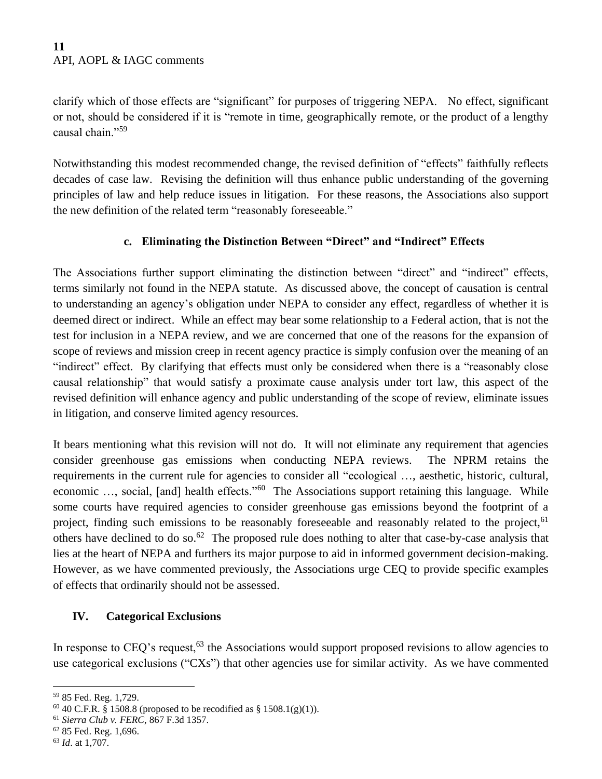clarify which of those effects are "significant" for purposes of triggering NEPA. No effect, significant or not, should be considered if it is "remote in time, geographically remote, or the product of a lengthy causal chain."<sup>59</sup>

Notwithstanding this modest recommended change, the revised definition of "effects" faithfully reflects decades of case law. Revising the definition will thus enhance public understanding of the governing principles of law and help reduce issues in litigation. For these reasons, the Associations also support the new definition of the related term "reasonably foreseeable."

## **c. Eliminating the Distinction Between "Direct" and "Indirect" Effects**

The Associations further support eliminating the distinction between "direct" and "indirect" effects, terms similarly not found in the NEPA statute. As discussed above, the concept of causation is central to understanding an agency's obligation under NEPA to consider any effect, regardless of whether it is deemed direct or indirect. While an effect may bear some relationship to a Federal action, that is not the test for inclusion in a NEPA review, and we are concerned that one of the reasons for the expansion of scope of reviews and mission creep in recent agency practice is simply confusion over the meaning of an "indirect" effect. By clarifying that effects must only be considered when there is a "reasonably close causal relationship" that would satisfy a proximate cause analysis under tort law, this aspect of the revised definition will enhance agency and public understanding of the scope of review, eliminate issues in litigation, and conserve limited agency resources.

It bears mentioning what this revision will not do. It will not eliminate any requirement that agencies consider greenhouse gas emissions when conducting NEPA reviews. The NPRM retains the requirements in the current rule for agencies to consider all "ecological …, aesthetic, historic, cultural, economic …, social, [and] health effects."<sup>60</sup> The Associations support retaining this language. While some courts have required agencies to consider greenhouse gas emissions beyond the footprint of a project, finding such emissions to be reasonably foreseeable and reasonably related to the project,<sup>61</sup> others have declined to do so.<sup>62</sup> The proposed rule does nothing to alter that case-by-case analysis that lies at the heart of NEPA and furthers its major purpose to aid in informed government decision-making. However, as we have commented previously, the Associations urge CEQ to provide specific examples of effects that ordinarily should not be assessed.

#### **IV. Categorical Exclusions**

In response to CEQ's request,  $63$  the Associations would support proposed revisions to allow agencies to use categorical exclusions ("CXs") that other agencies use for similar activity. As we have commented

<sup>59</sup> 85 Fed. Reg. 1,729.

 $60$  40 C.F.R. § 1508.8 (proposed to be recodified as § 1508.1(g)(1)).

<sup>61</sup> *Sierra Club v. FERC*, 867 F.3d 1357.

<sup>62</sup> 85 Fed. Reg. 1,696.

<sup>63</sup> *Id*. at 1,707.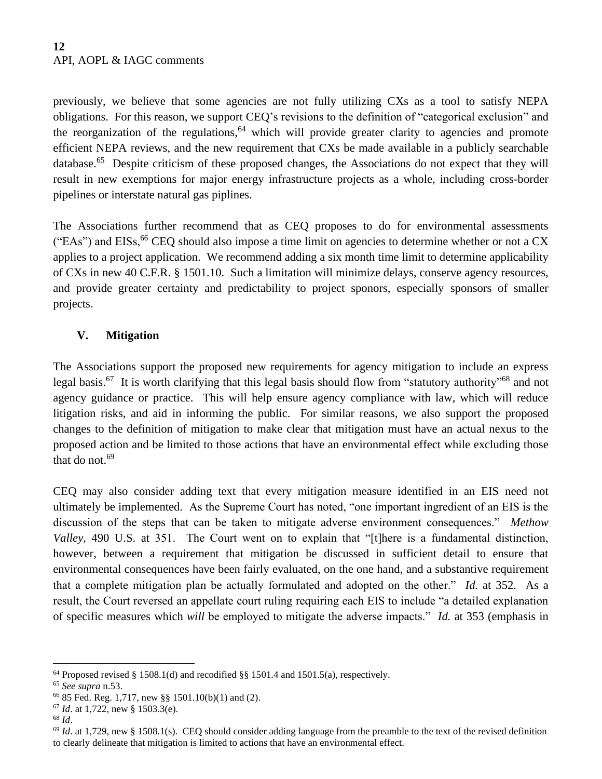previously, we believe that some agencies are not fully utilizing CXs as a tool to satisfy NEPA obligations. For this reason, we support CEQ's revisions to the definition of "categorical exclusion" and the reorganization of the regulations,<sup>64</sup> which will provide greater clarity to agencies and promote efficient NEPA reviews, and the new requirement that CXs be made available in a publicly searchable database.<sup>65</sup> Despite criticism of these proposed changes, the Associations do not expect that they will result in new exemptions for major energy infrastructure projects as a whole, including cross-border pipelines or interstate natural gas piplines.

The Associations further recommend that as CEQ proposes to do for environmental assessments ("EAs") and EISs,  $^{66}$  CEQ should also impose a time limit on agencies to determine whether or not a CX applies to a project application. We recommend adding a six month time limit to determine applicability of CXs in new 40 C.F.R. § 1501.10. Such a limitation will minimize delays, conserve agency resources, and provide greater certainty and predictability to project sponors, especially sponsors of smaller projects.

## **V. Mitigation**

The Associations support the proposed new requirements for agency mitigation to include an express legal basis.<sup>67</sup> It is worth clarifying that this legal basis should flow from "statutory authority"<sup>68</sup> and not agency guidance or practice. This will help ensure agency compliance with law, which will reduce litigation risks, and aid in informing the public. For similar reasons, we also support the proposed changes to the definition of mitigation to make clear that mitigation must have an actual nexus to the proposed action and be limited to those actions that have an environmental effect while excluding those that do not. 69

CEQ may also consider adding text that every mitigation measure identified in an EIS need not ultimately be implemented. As the Supreme Court has noted, "one important ingredient of an EIS is the discussion of the steps that can be taken to mitigate adverse environment consequences." *Methow Valley*, 490 U.S. at 351. The Court went on to explain that "[t]here is a fundamental distinction, however, between a requirement that mitigation be discussed in sufficient detail to ensure that environmental consequences have been fairly evaluated, on the one hand, and a substantive requirement that a complete mitigation plan be actually formulated and adopted on the other." *Id.* at 352. As a result, the Court reversed an appellate court ruling requiring each EIS to include "a detailed explanation of specific measures which *will* be employed to mitigate the adverse impacts." *Id.* at 353 (emphasis in

<sup>&</sup>lt;sup>64</sup> Proposed revised § 1508.1(d) and recodified §§ 1501.4 and 1501.5(a), respectively.

<sup>65</sup> *See supra* n.53.

<sup>66</sup> 85 Fed. Reg. 1,717, new §§ 1501.10(b)(1) and (2).

<sup>67</sup> *Id*. at 1,722, new § 1503.3(e).

<sup>68</sup> *Id*.

<sup>&</sup>lt;sup>69</sup> *Id.* at 1,729, new § 1508.1(s). CEQ should consider adding language from the preamble to the text of the revised definition to clearly delineate that mitigation is limited to actions that have an environmental effect.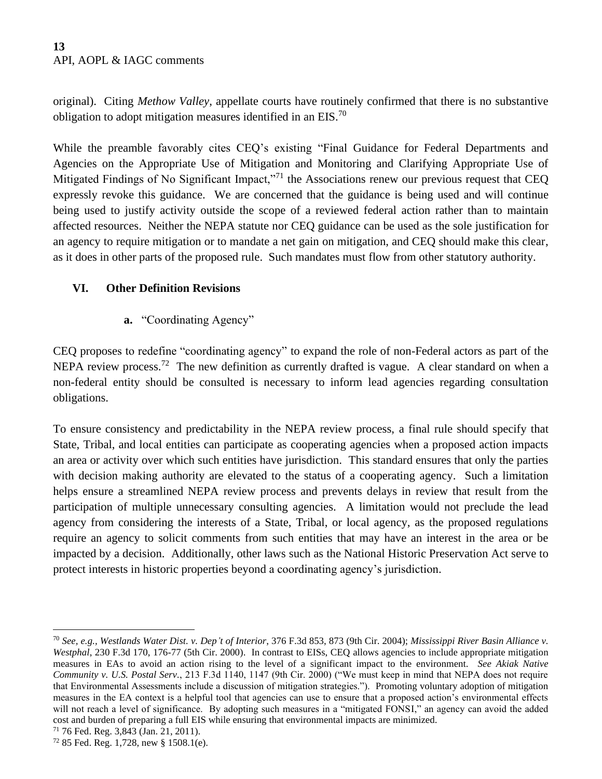original). Citing *Methow Valley*, appellate courts have routinely confirmed that there is no substantive obligation to adopt mitigation measures identified in an EIS.<sup>70</sup>

While the preamble favorably cites CEQ's existing "Final Guidance for Federal Departments and Agencies on the Appropriate Use of Mitigation and Monitoring and Clarifying Appropriate Use of Mitigated Findings of No Significant Impact,"<sup>71</sup> the Associations renew our previous request that CEQ expressly revoke this guidance. We are concerned that the guidance is being used and will continue being used to justify activity outside the scope of a reviewed federal action rather than to maintain affected resources. Neither the NEPA statute nor CEQ guidance can be used as the sole justification for an agency to require mitigation or to mandate a net gain on mitigation, and CEQ should make this clear, as it does in other parts of the proposed rule. Such mandates must flow from other statutory authority.

#### **VI. Other Definition Revisions**

**a.** "Coordinating Agency"

CEQ proposes to redefine "coordinating agency" to expand the role of non-Federal actors as part of the NEPA review process.<sup>72</sup> The new definition as currently drafted is vague. A clear standard on when a non-federal entity should be consulted is necessary to inform lead agencies regarding consultation obligations.

To ensure consistency and predictability in the NEPA review process, a final rule should specify that State, Tribal, and local entities can participate as cooperating agencies when a proposed action impacts an area or activity over which such entities have jurisdiction. This standard ensures that only the parties with decision making authority are elevated to the status of a cooperating agency. Such a limitation helps ensure a streamlined NEPA review process and prevents delays in review that result from the participation of multiple unnecessary consulting agencies. A limitation would not preclude the lead agency from considering the interests of a State, Tribal, or local agency, as the proposed regulations require an agency to solicit comments from such entities that may have an interest in the area or be impacted by a decision. Additionally, other laws such as the National Historic Preservation Act serve to protect interests in historic properties beyond a coordinating agency's jurisdiction.

<sup>70</sup> *See, e.g., Westlands Water Dist. v. Dep't of Interior*, 376 F.3d 853, 873 (9th Cir. 2004); *Mississippi River Basin Alliance v. Westphal*, 230 F.3d 170, 176-77 (5th Cir. 2000). In contrast to EISs, CEQ allows agencies to include appropriate mitigation measures in EAs to avoid an action rising to the level of a significant impact to the environment. *See Akiak Native Community v. U.S. Postal Serv.*, 213 F.3d 1140, 1147 (9th Cir. 2000) ("We must keep in mind that NEPA does not require that Environmental Assessments include a discussion of mitigation strategies."). Promoting voluntary adoption of mitigation measures in the EA context is a helpful tool that agencies can use to ensure that a proposed action's environmental effects will not reach a level of significance. By adopting such measures in a "mitigated FONSI," an agency can avoid the added cost and burden of preparing a full EIS while ensuring that environmental impacts are minimized.

<sup>71</sup> 76 Fed. Reg. 3,843 (Jan. 21, 2011).

 $72$  85 Fed. Reg. 1,728, new § 1508.1(e).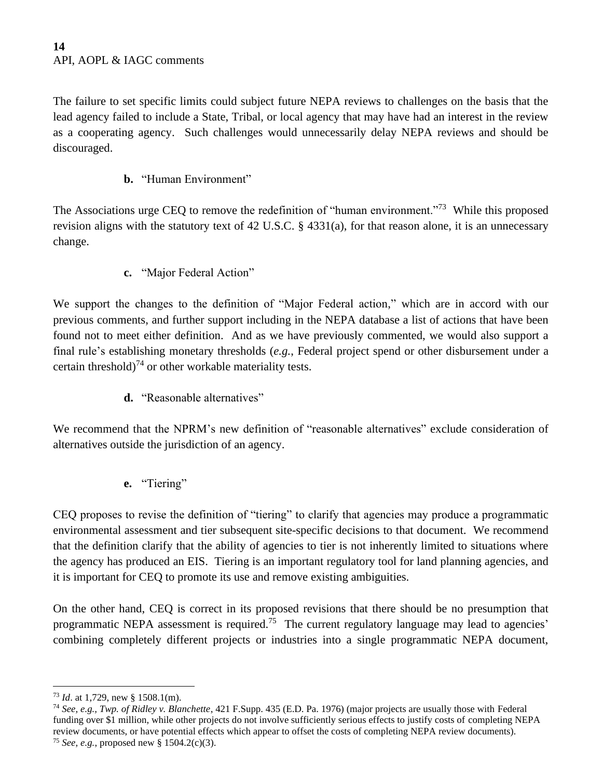The failure to set specific limits could subject future NEPA reviews to challenges on the basis that the lead agency failed to include a State, Tribal, or local agency that may have had an interest in the review as a cooperating agency. Such challenges would unnecessarily delay NEPA reviews and should be discouraged.

**b.** "Human Environment"

The Associations urge CEQ to remove the redefinition of "human environment."<sup>73</sup> While this proposed revision aligns with the statutory text of 42 U.S.C. § 4331(a), for that reason alone, it is an unnecessary change.

**c.** "Major Federal Action"

We support the changes to the definition of "Major Federal action," which are in accord with our previous comments, and further support including in the NEPA database a list of actions that have been found not to meet either definition. And as we have previously commented, we would also support a final rule's establishing monetary thresholds (*e.g.*, Federal project spend or other disbursement under a certain threshold)<sup>74</sup> or other workable materiality tests.

**d.** "Reasonable alternatives"

We recommend that the NPRM's new definition of "reasonable alternatives" exclude consideration of alternatives outside the jurisdiction of an agency.

**e.** "Tiering"

CEQ proposes to revise the definition of "tiering" to clarify that agencies may produce a programmatic environmental assessment and tier subsequent site-specific decisions to that document. We recommend that the definition clarify that the ability of agencies to tier is not inherently limited to situations where the agency has produced an EIS. Tiering is an important regulatory tool for land planning agencies, and it is important for CEQ to promote its use and remove existing ambiguities.

On the other hand, CEQ is correct in its proposed revisions that there should be no presumption that programmatic NEPA assessment is required.<sup>75</sup> The current regulatory language may lead to agencies' combining completely different projects or industries into a single programmatic NEPA document,

<sup>73</sup> *Id*. at 1,729, new § 1508.1(m).

<sup>74</sup> *See, e.g., Twp. of Ridley v. Blanchette*, 421 F.Supp. 435 (E.D. Pa. 1976) (major projects are usually those with Federal funding over \$1 million, while other projects do not involve sufficiently serious effects to justify costs of completing NEPA review documents, or have potential effects which appear to offset the costs of completing NEPA review documents). <sup>75</sup> *See, e.g.*, proposed new § 1504.2(c)(3).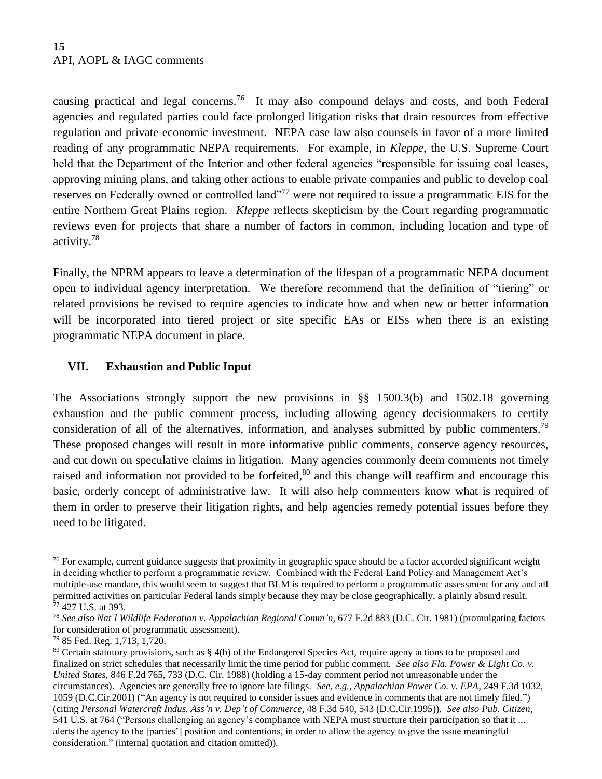causing practical and legal concerns.<sup>76</sup> It may also compound delays and costs, and both Federal agencies and regulated parties could face prolonged litigation risks that drain resources from effective regulation and private economic investment. NEPA case law also counsels in favor of a more limited reading of any programmatic NEPA requirements. For example, in *Kleppe*, the U.S. Supreme Court held that the Department of the Interior and other federal agencies "responsible for issuing coal leases, approving mining plans, and taking other actions to enable private companies and public to develop coal reserves on Federally owned or controlled land<sup>"77</sup> were not required to issue a programmatic EIS for the entire Northern Great Plains region. *Kleppe* reflects skepticism by the Court regarding programmatic reviews even for projects that share a number of factors in common, including location and type of activity.<sup>78</sup>

Finally, the NPRM appears to leave a determination of the lifespan of a programmatic NEPA document open to individual agency interpretation. We therefore recommend that the definition of "tiering" or related provisions be revised to require agencies to indicate how and when new or better information will be incorporated into tiered project or site specific EAs or EISs when there is an existing programmatic NEPA document in place.

#### **VII. Exhaustion and Public Input**

The Associations strongly support the new provisions in §§ 1500.3(b) and 1502.18 governing exhaustion and the public comment process, including allowing agency decisionmakers to certify consideration of all of the alternatives, information, and analyses submitted by public commenters.<sup>79</sup> These proposed changes will result in more informative public comments, conserve agency resources, and cut down on speculative claims in litigation. Many agencies commonly deem comments not timely raised and information not provided to be forfeited,<sup>80</sup> and this change will reaffirm and encourage this basic, orderly concept of administrative law. It will also help commenters know what is required of them in order to preserve their litigation rights, and help agencies remedy potential issues before they need to be litigated.

<sup>&</sup>lt;sup>76</sup> For example, current guidance suggests that proximity in geographic space should be a factor accorded significant weight in deciding whether to perform a programmatic review. Combined with the Federal Land Policy and Management Act's multiple-use mandate, this would seem to suggest that BLM is required to perform a programmatic assessment for any and all permitted activities on particular Federal lands simply because they may be close geographically, a plainly absurd result.  $77$  427 U.S. at 393.

<sup>78</sup> *See also Nat'l Wildlife Federation v. Appalachian Regional Comm'n*, 677 F.2d 883 (D.C. Cir. 1981) (promulgating factors for consideration of programmatic assessment).

<sup>79</sup> 85 Fed. Reg. 1,713, 1,720.

<sup>80</sup> Certain statutory provisions, such as § 4(b) of the Endangered Species Act, require ageny actions to be proposed and finalized on strict schedules that necessarily limit the time period for public comment. *See also Fla. Power & Light Co. v. United States*, 846 F.2d 765, 733 (D.C. Cir. 1988) (holding a 15-day comment period not unreasonable under the circumstances). Agencies are generally free to ignore late filings. *See, e.g., Appalachian Power Co. v. EPA*, 249 F.3d 1032, 1059 (D.C.Cir.2001) ("An agency is not required to consider issues and evidence in comments that are not timely filed.") (citing *Personal Watercraft Indus. Ass'n v. Dep't of Commerce*, 48 F.3d 540, 543 (D.C.Cir.1995)). *See also Pub. Citizen*, 541 U.S. at 764 ("Persons challenging an agency's compliance with NEPA must structure their participation so that it ... alerts the agency to the [parties'] position and contentions, in order to allow the agency to give the issue meaningful consideration." (internal quotation and citation omitted)).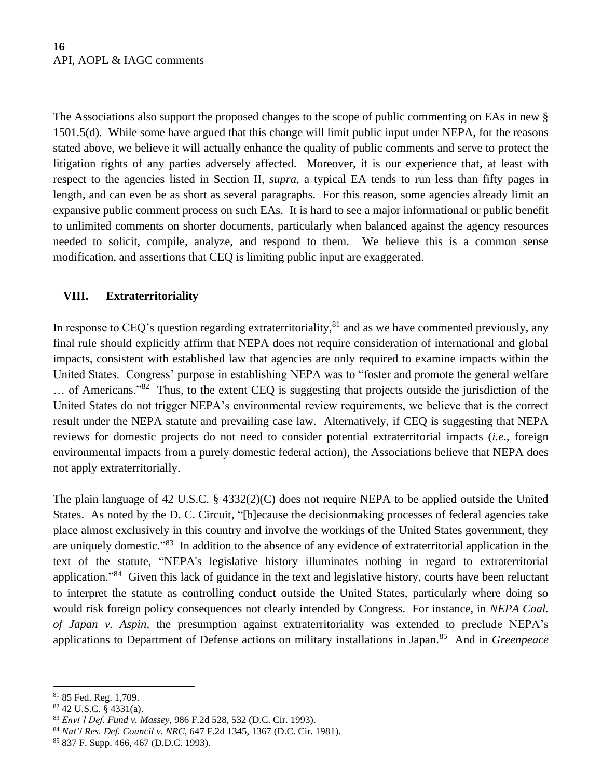The Associations also support the proposed changes to the scope of public commenting on EAs in new § 1501.5(d). While some have argued that this change will limit public input under NEPA, for the reasons stated above, we believe it will actually enhance the quality of public comments and serve to protect the litigation rights of any parties adversely affected. Moreover, it is our experience that, at least with respect to the agencies listed in Section II, *supra*, a typical EA tends to run less than fifty pages in length, and can even be as short as several paragraphs. For this reason, some agencies already limit an expansive public comment process on such EAs. It is hard to see a major informational or public benefit to unlimited comments on shorter documents, particularly when balanced against the agency resources needed to solicit, compile, analyze, and respond to them. We believe this is a common sense modification, and assertions that CEQ is limiting public input are exaggerated.

## **VIII. Extraterritoriality**

In response to CEQ's question regarding extraterritoriality, $^{81}$  and as we have commented previously, any final rule should explicitly affirm that NEPA does not require consideration of international and global impacts, consistent with established law that agencies are only required to examine impacts within the United States. Congress' purpose in establishing NEPA was to "foster and promote the general welfare ... of Americans."<sup>82</sup> Thus, to the extent CEQ is suggesting that projects outside the jurisdiction of the United States do not trigger NEPA's environmental review requirements, we believe that is the correct result under the NEPA statute and prevailing case law. Alternatively, if CEQ is suggesting that NEPA reviews for domestic projects do not need to consider potential extraterritorial impacts (*i.e*., foreign environmental impacts from a purely domestic federal action), the Associations believe that NEPA does not apply extraterritorially.

The plain language of 42 U.S.C. § 4332(2)(C) does not require NEPA to be applied outside the United States. As noted by the D. C. Circuit, "[b]ecause the decisionmaking processes of federal agencies take place almost exclusively in this country and involve the workings of the United States government, they are uniquely domestic."<sup>83</sup> In addition to the absence of any evidence of extraterritorial application in the text of the statute, "NEPA's legislative history illuminates nothing in regard to extraterritorial application."<sup>84</sup> Given this lack of guidance in the text and legislative history, courts have been reluctant to interpret the statute as controlling conduct outside the United States, particularly where doing so would risk foreign policy consequences not clearly intended by Congress. For instance, in *NEPA Coal. of Japan v. Aspin,* the presumption against extraterritoriality was extended to preclude NEPA's applications to Department of Defense actions on military installations in Japan.<sup>85</sup> And in *Greenpeace* 

<sup>81</sup> 85 Fed. Reg. 1,709.

<sup>82</sup> 42 U.S.C. § 4331(a).

<sup>83</sup> *Envt'l Def. Fund v. Massey*, 986 F.2d 528, 532 (D.C. Cir. 1993).

<sup>84</sup> *Nat'l Res. Def. Council v. NRC*, 647 F.2d 1345, 1367 (D.C. Cir. 1981).

<sup>85</sup> 837 F. Supp. 466, 467 (D.D.C. 1993).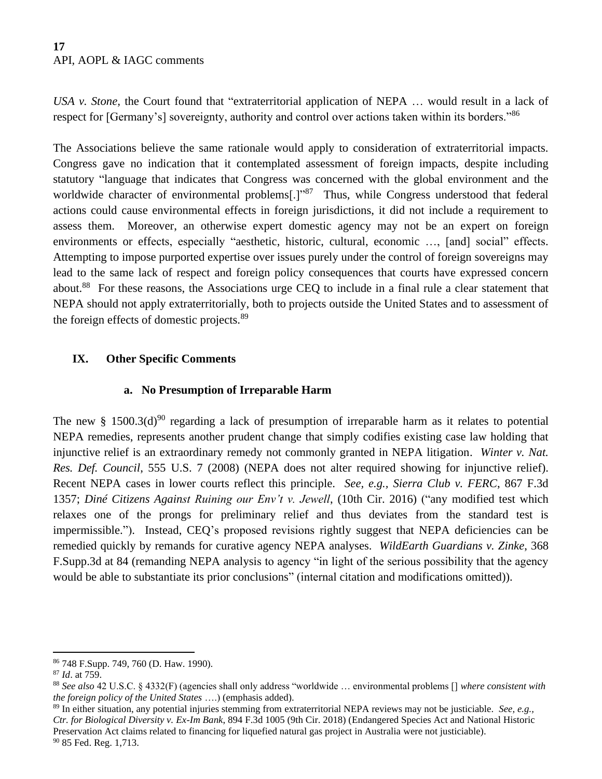*USA v. Stone,* the Court found that "extraterritorial application of NEPA … would result in a lack of respect for [Germany's] sovereignty, authority and control over actions taken within its borders."<sup>86</sup>

The Associations believe the same rationale would apply to consideration of extraterritorial impacts. Congress gave no indication that it contemplated assessment of foreign impacts, despite including statutory "language that indicates that Congress was concerned with the global environment and the worldwide character of environmental problems<sup>[1]</sup><sup>87</sup> Thus, while Congress understood that federal actions could cause environmental effects in foreign jurisdictions, it did not include a requirement to assess them. Moreover, an otherwise expert domestic agency may not be an expert on foreign environments or effects, especially "aesthetic, historic, cultural, economic …, [and] social" effects. Attempting to impose purported expertise over issues purely under the control of foreign sovereigns may lead to the same lack of respect and foreign policy consequences that courts have expressed concern about.<sup>88</sup> For these reasons, the Associations urge CEQ to include in a final rule a clear statement that NEPA should not apply extraterritorially, both to projects outside the United States and to assessment of the foreign effects of domestic projects.<sup>89</sup>

## **IX. Other Specific Comments**

#### **a. No Presumption of Irreparable Harm**

The new § 1500.3(d)<sup>90</sup> regarding a lack of presumption of irreparable harm as it relates to potential NEPA remedies, represents another prudent change that simply codifies existing case law holding that injunctive relief is an extraordinary remedy not commonly granted in NEPA litigation. *Winter v. Nat. Res. Def. Council*, 555 U.S. 7 (2008) (NEPA does not alter required showing for injunctive relief). Recent NEPA cases in lower courts reflect this principle. *See, e.g., Sierra Club v. FERC*, 867 F.3d 1357; *Diné Citizens Against Ruining our Env't v. Jewell*, (10th Cir. 2016) ("any modified test which relaxes one of the prongs for preliminary relief and thus deviates from the standard test is impermissible."). Instead, CEQ's proposed revisions rightly suggest that NEPA deficiencies can be remedied quickly by remands for curative agency NEPA analyses. *WildEarth Guardians v. Zinke*, 368 F.Supp.3d at 84 (remanding NEPA analysis to agency "in light of the serious possibility that the agency would be able to substantiate its prior conclusions" (internal citation and modifications omitted)).

<sup>86</sup> 748 F.Supp. 749, 760 (D. Haw. 1990).

<sup>87</sup> *Id*. at 759.

<sup>88</sup> *See also* 42 U.S.C. § 4332(F) (agencies shall only address "worldwide … environmental problems [] *where consistent with the foreign policy of the United States* ….) (emphasis added).

<sup>89</sup> In either situation, any potential injuries stemming from extraterritorial NEPA reviews may not be justiciable. *See, e.g., Ctr. for Biological Diversity v. Ex-Im Bank*, 894 F.3d 1005 (9th Cir. 2018) (Endangered Species Act and National Historic Preservation Act claims related to financing for liquefied natural gas project in Australia were not justiciable). <sup>90</sup> 85 Fed. Reg. 1,713.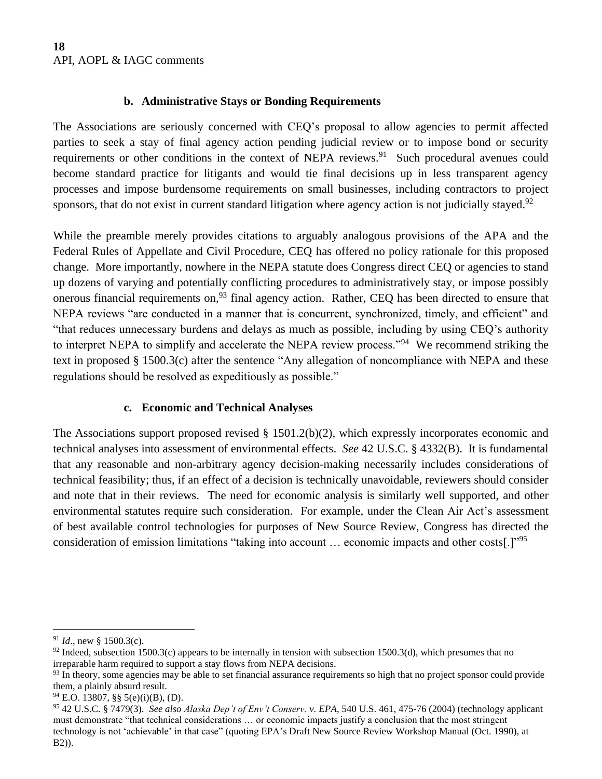#### **b. Administrative Stays or Bonding Requirements**

The Associations are seriously concerned with CEQ's proposal to allow agencies to permit affected parties to seek a stay of final agency action pending judicial review or to impose bond or security requirements or other conditions in the context of NEPA reviews.<sup>91</sup> Such procedural avenues could become standard practice for litigants and would tie final decisions up in less transparent agency processes and impose burdensome requirements on small businesses, including contractors to project sponsors, that do not exist in current standard litigation where agency action is not judicially stayed. $92$ 

While the preamble merely provides citations to arguably analogous provisions of the APA and the Federal Rules of Appellate and Civil Procedure, CEQ has offered no policy rationale for this proposed change. More importantly, nowhere in the NEPA statute does Congress direct CEQ or agencies to stand up dozens of varying and potentially conflicting procedures to administratively stay, or impose possibly onerous financial requirements on,<sup>93</sup> final agency action. Rather, CEQ has been directed to ensure that NEPA reviews "are conducted in a manner that is concurrent, synchronized, timely, and efficient" and "that reduces unnecessary burdens and delays as much as possible, including by using CEQ's authority to interpret NEPA to simplify and accelerate the NEPA review process."<sup>94</sup> We recommend striking the text in proposed § 1500.3(c) after the sentence "Any allegation of noncompliance with NEPA and these regulations should be resolved as expeditiously as possible."

#### **c. Economic and Technical Analyses**

The Associations support proposed revised § 1501.2(b)(2), which expressly incorporates economic and technical analyses into assessment of environmental effects. *See* 42 U.S.C. § 4332(B). It is fundamental that any reasonable and non-arbitrary agency decision-making necessarily includes considerations of technical feasibility; thus, if an effect of a decision is technically unavoidable, reviewers should consider and note that in their reviews. The need for economic analysis is similarly well supported, and other environmental statutes require such consideration. For example, under the Clean Air Act's assessment of best available control technologies for purposes of New Source Review, Congress has directed the consideration of emission limitations "taking into account … economic impacts and other costs[.]"<sup>95</sup>

 $91$  *Id.*, new § 1500.3(c).

 $92$  Indeed, subsection 1500.3(c) appears to be internally in tension with subsection 1500.3(d), which presumes that no irreparable harm required to support a stay flows from NEPA decisions.

<sup>&</sup>lt;sup>93</sup> In theory, some agencies may be able to set financial assurance requirements so high that no project sponsor could provide them, a plainly absurd result.

 $94$  E.O. 13807, §§ 5(e)(i)(B), (D).

<sup>95</sup> 42 U.S.C. § 7479(3). *See also Alaska Dep't of Env't Conserv. v. EPA*, 540 U.S. 461, 475-76 (2004) (technology applicant must demonstrate "that technical considerations … or economic impacts justify a conclusion that the most stringent technology is not 'achievable' in that case" (quoting EPA's Draft New Source Review Workshop Manual (Oct. 1990), at B2)).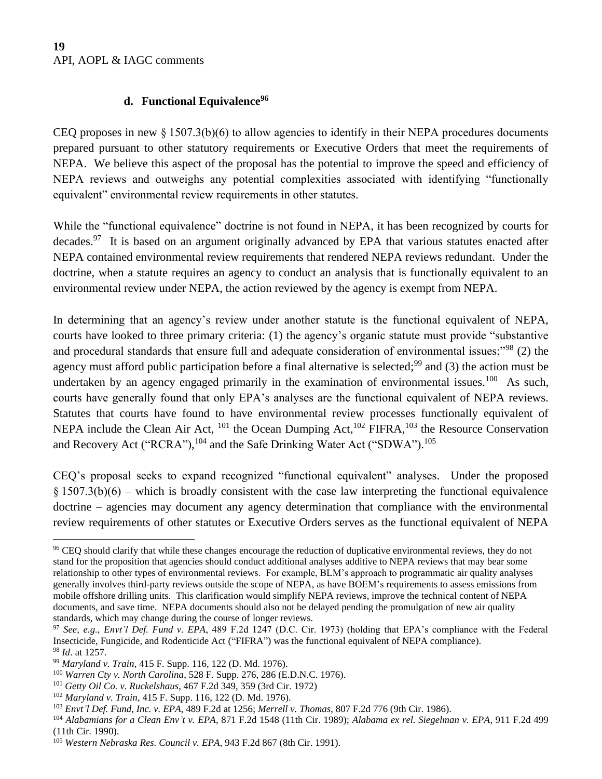#### **d. Functional Equivalence<sup>96</sup>**

CEQ proposes in new  $\S 1507.3(b)(6)$  to allow agencies to identify in their NEPA procedures documents prepared pursuant to other statutory requirements or Executive Orders that meet the requirements of NEPA. We believe this aspect of the proposal has the potential to improve the speed and efficiency of NEPA reviews and outweighs any potential complexities associated with identifying "functionally equivalent" environmental review requirements in other statutes.

While the "functional equivalence" doctrine is not found in NEPA, it has been recognized by courts for decades.<sup>97</sup> It is based on an argument originally advanced by EPA that various statutes enacted after NEPA contained environmental review requirements that rendered NEPA reviews redundant. Under the doctrine, when a statute requires an agency to conduct an analysis that is functionally equivalent to an environmental review under NEPA, the action reviewed by the agency is exempt from NEPA.

In determining that an agency's review under another statute is the functional equivalent of NEPA, courts have looked to three primary criteria: (1) the agency's organic statute must provide "substantive and procedural standards that ensure full and adequate consideration of environmental issues;"<sup>98</sup> (2) the agency must afford public participation before a final alternative is selected;<sup>99</sup> and (3) the action must be undertaken by an agency engaged primarily in the examination of environmental issues.<sup>100</sup> As such, courts have generally found that only EPA's analyses are the functional equivalent of NEPA reviews. Statutes that courts have found to have environmental review processes functionally equivalent of NEPA include the Clean Air Act,  $^{101}$  the Ocean Dumping Act,  $^{102}$  FIFRA,  $^{103}$  the Resource Conservation and Recovery Act ("RCRA"),  $^{104}$  and the Safe Drinking Water Act ("SDWA").  $^{105}$ 

CEQ's proposal seeks to expand recognized "functional equivalent" analyses. Under the proposed § 1507.3(b)(6) – which is broadly consistent with the case law interpreting the functional equivalence doctrine – agencies may document any agency determination that compliance with the environmental review requirements of other statutes or Executive Orders serves as the functional equivalent of NEPA

<sup>&</sup>lt;sup>96</sup> CEQ should clarify that while these changes encourage the reduction of duplicative environmental reviews, they do not stand for the proposition that agencies should conduct additional analyses additive to NEPA reviews that may bear some relationship to other types of environmental reviews. For example, BLM's approach to programmatic air quality analyses generally involves third-party reviews outside the scope of NEPA, as have BOEM's requirements to assess emissions from mobile offshore drilling units. This clarification would simplify NEPA reviews, improve the technical content of NEPA documents, and save time. NEPA documents should also not be delayed pending the promulgation of new air quality standards, which may change during the course of longer reviews.

<sup>97</sup> *See, e.g., Envt'l Def. Fund v. EPA*, 489 F.2d 1247 (D.C. Cir. 1973) (holding that EPA's compliance with the Federal Insecticide, Fungicide, and Rodenticide Act ("FIFRA") was the functional equivalent of NEPA compliance). <sup>98</sup> *Id*. at 1257.

<sup>99</sup> *Maryland v. Train*, 415 F. Supp. 116, 122 (D. Md. 1976).

<sup>100</sup> *Warren Cty v. North Carolina*, 528 F. Supp. 276, 286 (E.D.N.C. 1976).

<sup>101</sup> *Getty Oil Co. v. Ruckelshaus*, 467 F.2d 349, 359 (3rd Cir. 1972)

<sup>102</sup> *Maryland v. Train*, 415 F. Supp. 116, 122 (D. Md. 1976).

<sup>103</sup> *Envt'l Def. Fund, Inc. v. EPA*, 489 F.2d at 1256; *Merrell v. Thomas*, 807 F.2d 776 (9th Cir. 1986).

<sup>104</sup> *Alabamians for a Clean Env't v. EPA*, 871 F.2d 1548 (11th Cir. 1989); *Alabama ex rel. Siegelman v. EPA*, 911 F.2d 499 (11th Cir. 1990).

<sup>105</sup> *Western Nebraska Res. Council v. EPA*, 943 F.2d 867 (8th Cir. 1991).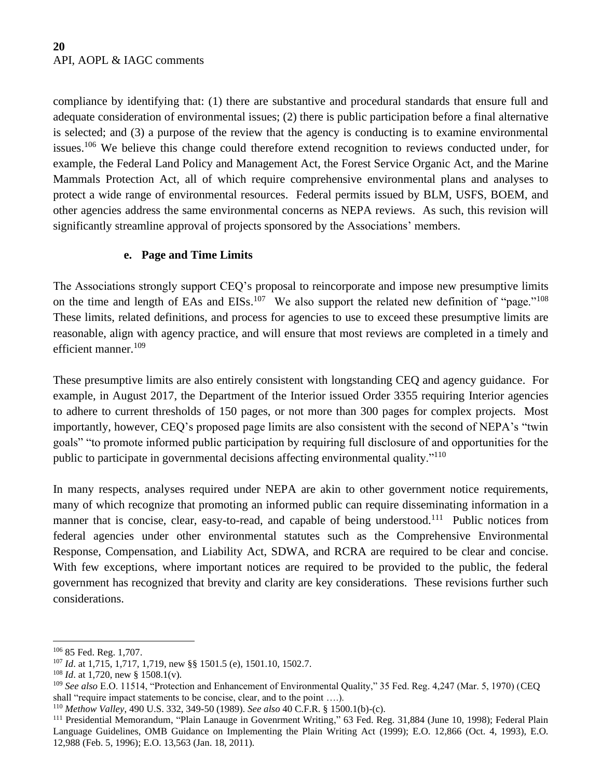compliance by identifying that: (1) there are substantive and procedural standards that ensure full and adequate consideration of environmental issues; (2) there is public participation before a final alternative is selected; and (3) a purpose of the review that the agency is conducting is to examine environmental issues.<sup>106</sup> We believe this change could therefore extend recognition to reviews conducted under, for example, the Federal Land Policy and Management Act, the Forest Service Organic Act, and the Marine Mammals Protection Act, all of which require comprehensive environmental plans and analyses to protect a wide range of environmental resources. Federal permits issued by BLM, USFS, BOEM, and other agencies address the same environmental concerns as NEPA reviews. As such, this revision will significantly streamline approval of projects sponsored by the Associations' members.

## **e. Page and Time Limits**

The Associations strongly support CEQ's proposal to reincorporate and impose new presumptive limits on the time and length of EAs and  $EISs$ .<sup>107</sup> We also support the related new definition of "page."<sup>108</sup> These limits, related definitions, and process for agencies to use to exceed these presumptive limits are reasonable, align with agency practice, and will ensure that most reviews are completed in a timely and efficient manner.<sup>109</sup>

These presumptive limits are also entirely consistent with longstanding CEQ and agency guidance. For example, in August 2017, the Department of the Interior issued Order 3355 requiring Interior agencies to adhere to current thresholds of 150 pages, or not more than 300 pages for complex projects. Most importantly, however, CEQ's proposed page limits are also consistent with the second of NEPA's "twin goals" "to promote informed public participation by requiring full disclosure of and opportunities for the public to participate in governmental decisions affecting environmental quality."<sup>110</sup>

In many respects, analyses required under NEPA are akin to other government notice requirements, many of which recognize that promoting an informed public can require disseminating information in a manner that is concise, clear, easy-to-read, and capable of being understood.<sup>111</sup> Public notices from federal agencies under other environmental statutes such as the Comprehensive Environmental Response, Compensation, and Liability Act, SDWA, and RCRA are required to be clear and concise. With few exceptions, where important notices are required to be provided to the public, the federal government has recognized that brevity and clarity are key considerations. These revisions further such considerations.

<sup>106</sup> 85 Fed. Reg. 1,707.

<sup>107</sup> *Id*. at 1,715, 1,717, 1,719, new §§ 1501.5 (e), 1501.10, 1502.7.

<sup>&</sup>lt;sup>108</sup> *Id.* at 1,720, new § 1508.1(v).

<sup>109</sup> *See also* E.O. 11514, "Protection and Enhancement of Environmental Quality," 35 Fed. Reg. 4,247 (Mar. 5, 1970) (CEQ shall "require impact statements to be concise, clear, and to the point ....).

<sup>110</sup> *Methow Valley*, 490 U.S. 332, 349-50 (1989). *See also* 40 C.F.R. § 1500.1(b)-(c).

<sup>111</sup> Presidential Memorandum, "Plain Lanauge in Govenrment Writing," 63 Fed. Reg. 31,884 (June 10, 1998); Federal Plain Language Guidelines, OMB Guidance on Implementing the Plain Writing Act (1999); E.O. 12,866 (Oct. 4, 1993), E.O. 12,988 (Feb. 5, 1996); E.O. 13,563 (Jan. 18, 2011).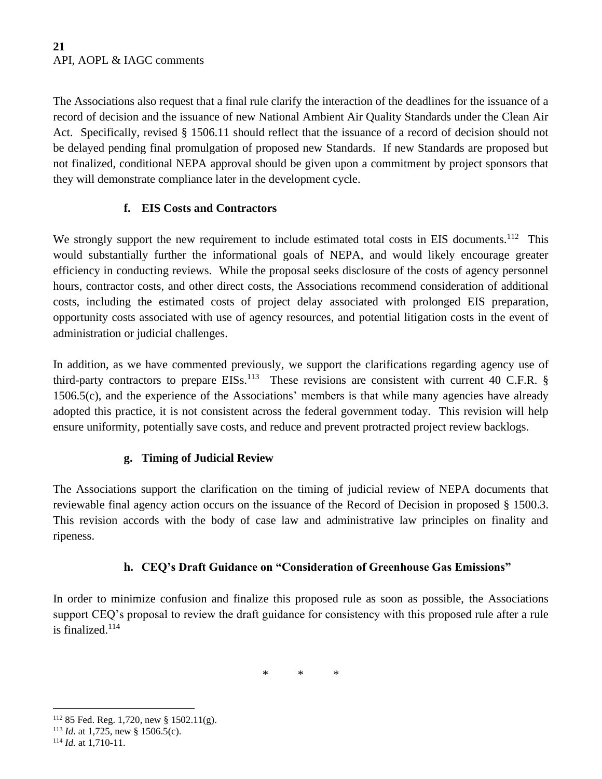The Associations also request that a final rule clarify the interaction of the deadlines for the issuance of a record of decision and the issuance of new National Ambient Air Quality Standards under the Clean Air Act. Specifically, revised § 1506.11 should reflect that the issuance of a record of decision should not be delayed pending final promulgation of proposed new Standards. If new Standards are proposed but not finalized, conditional NEPA approval should be given upon a commitment by project sponsors that they will demonstrate compliance later in the development cycle.

# **f. EIS Costs and Contractors**

We strongly support the new requirement to include estimated total costs in EIS documents.<sup>112</sup> This would substantially further the informational goals of NEPA, and would likely encourage greater efficiency in conducting reviews. While the proposal seeks disclosure of the costs of agency personnel hours, contractor costs, and other direct costs, the Associations recommend consideration of additional costs, including the estimated costs of project delay associated with prolonged EIS preparation, opportunity costs associated with use of agency resources, and potential litigation costs in the event of administration or judicial challenges.

In addition, as we have commented previously, we support the clarifications regarding agency use of third-party contractors to prepare  $EISs$ <sup>113</sup> These revisions are consistent with current 40 C.F.R. § 1506.5(c), and the experience of the Associations' members is that while many agencies have already adopted this practice, it is not consistent across the federal government today. This revision will help ensure uniformity, potentially save costs, and reduce and prevent protracted project review backlogs.

# **g. Timing of Judicial Review**

The Associations support the clarification on the timing of judicial review of NEPA documents that reviewable final agency action occurs on the issuance of the Record of Decision in proposed § 1500.3. This revision accords with the body of case law and administrative law principles on finality and ripeness.

# **h. CEQ's Draft Guidance on "Consideration of Greenhouse Gas Emissions"**

In order to minimize confusion and finalize this proposed rule as soon as possible, the Associations support CEQ's proposal to review the draft guidance for consistency with this proposed rule after a rule is finalized.<sup>114</sup>

\* \* \*

<sup>112</sup> 85 Fed. Reg. 1,720, new § 1502.11(g).

<sup>113</sup> *Id*. at 1,725, new § 1506.5(c).

<sup>114</sup> *Id*. at 1,710-11.